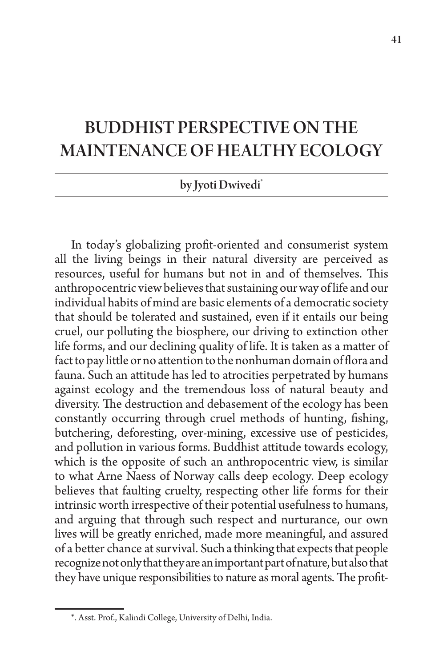## BUDDHIST PERSPECTIVE ON THE MAINTENANCE OF HEALTHY ECOLOGY

## by Jyoti Dwivedi<sup>\*</sup>

In today's globalizing profit-oriented and consumerist system all the living beings in their natural diversity are perceived as resources, useful for humans but not in and of themselves. This anthropocentric view believes that sustaining our way of life and our individual habits of mind are basic elements of a democratic society that should be tolerated and sustained, even if it entails our being cruel, our polluting the biosphere, our driving to extinction other life forms, and our declining quality of life. It is taken as a matter of fact to pay little or no attention to the nonhuman domain of flora and fauna. Such an attitude has led to atrocities perpetrated by humans against ecology and the tremendous loss of natural beauty and diversity. The destruction and debasement of the ecology has been constantly occurring through cruel methods of hunting, fishing, butchering, deforesting, over-mining, excessive use of pesticides, and pollution in various forms. Buddhist attitude towards ecology, which is the opposite of such an anthropocentric view, is similar to what Arne Naess of Norway calls deep ecology*.* Deep ecology believes that faulting cruelty, respecting other life forms for their intrinsic worth irrespective of their potential usefulness to humans, and arguing that through such respect and nurturance, our own lives will be greatly enriched, made more meaningful, and assured of a better chance at survival. Such a thinking that expects that people recognize not only that they are an important part of nature, but also that they have unique responsibilities to nature as moral agents. The profit-

<sup>\*.</sup> Asst. Prof., Kalindi College, University of Delhi, India.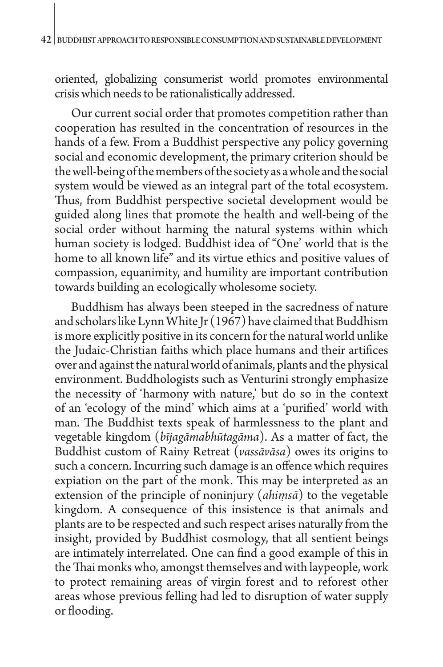oriented, globalizing consumerist world promotes environmental crisis which needs to be rationalistically addressed.

Our current social order that promotes competition rather than cooperation has resulted in the concentration of resources in the hands of a few. From a Buddhist perspective any policy governing social and economic development, the primary criterion should be the well-being of the members of the society as a whole and the social system would be viewed as an integral part of the total ecosystem. Thus, from Buddhist perspective societal development would be guided along lines that promote the health and well-being of the social order without harming the natural systems within which human society is lodged. Buddhist idea of "One' world that is the home to all known life" and its virtue ethics and positive values of compassion, equanimity, and humility are important contribution towards building an ecologically wholesome society.

Buddhism has always been steeped in the sacredness of nature and scholars like Lynn White Jr (1967) have claimed that Buddhism is more explicitly positive in its concern for the natural world unlike the Judaic-Christian faiths which place humans and their artifices over and against the natural world of animals, plants and the physical environment. Buddhologists such as Venturini strongly emphasize the necessity of 'harmony with nature,' but do so in the context of an 'ecology of the mind' which aims at a 'purified' world with man. The Buddhist texts speak of harmlessness to the plant and vegetable kingdom (*bījagāmabhūtagāma*). As a matter of fact, the Buddhist custom of Rainy Retreat (*vassāvāsa*) owes its origins to such a concern. Incurring such damage is an offence which requires expiation on the part of the monk. This may be interpreted as an extension of the principle of noninjury (*ahiṃsā*) to the vegetable kingdom. A consequence of this insistence is that animals and plants are to be respected and such respect arises naturally from the insight, provided by Buddhist cosmology, that all sentient beings are intimately interrelated. One can find a good example of this in the Thai monks who, amongst themselves and with laypeople, work to protect remaining areas of virgin forest and to reforest other areas whose previous felling had led to disruption of water supply or flooding.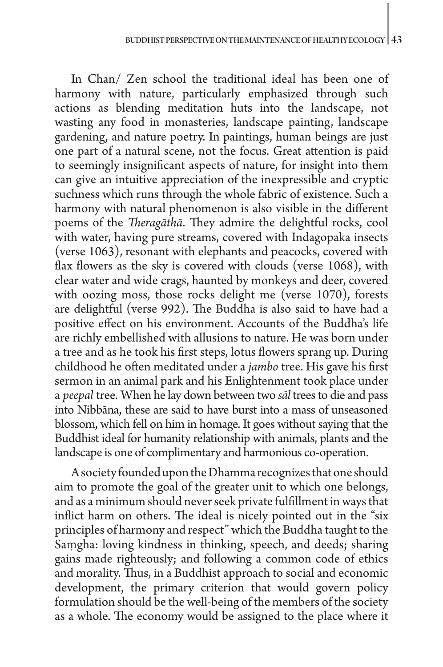In Chan/ Zen school the traditional ideal has been one of harmony with nature, particularly emphasized through such actions as blending meditation huts into the landscape, not wasting any food in monasteries, landscape painting, landscape gardening, and nature poetry. In paintings, human beings are just one part of a natural scene, not the focus. Great attention is paid to seemingly insignificant aspects of nature, for insight into them can give an intuitive appreciation of the inexpressible and cryptic suchness which runs through the whole fabric of existence. Such a harmony with natural phenomenon is also visible in the different poems of the *Theragāthā*. They admire the delightful rocks, cool with water, having pure streams, covered with Indagopaka insects (verse 1063), resonant with elephants and peacocks, covered with flax flowers as the sky is covered with clouds (verse 1068), with clear water and wide crags, haunted by monkeys and deer, covered with oozing moss, those rocks delight me (verse 1070), forests are delightful (verse 992). The Buddha is also said to have had a positive effect on his environment. Accounts of the Buddha's life are richly embellished with allusions to nature. He was born under a tree and as he took his first steps, lotus flowers sprang up. During childhood he often meditated under a *jambo* tree. His gave his first sermon in an animal park and his Enlightenment took place under a *peepal* tree. When he lay down between two *sāl* trees to die and pass into Nibbāna, these are said to have burst into a mass of unseasoned blossom, which fell on him in homage. It goes without saying that the Buddhist ideal for humanity relationship with animals, plants and the landscape is one of complimentary and harmonious co-operation.

A society founded upon the Dhamma recognizes that one should aim to promote the goal of the greater unit to which one belongs, and as a minimum should never seek private fulfillment in ways that inflict harm on others. The ideal is nicely pointed out in the "six principles of harmony and respect" which the Buddha taught to the Saṃgha: loving kindness in thinking, speech, and deeds; sharing gains made righteously; and following a common code of ethics and morality. Thus, in a Buddhist approach to social and economic development, the primary criterion that would govern policy formulation should be the well-being of the members of the society as a whole. The economy would be assigned to the place where it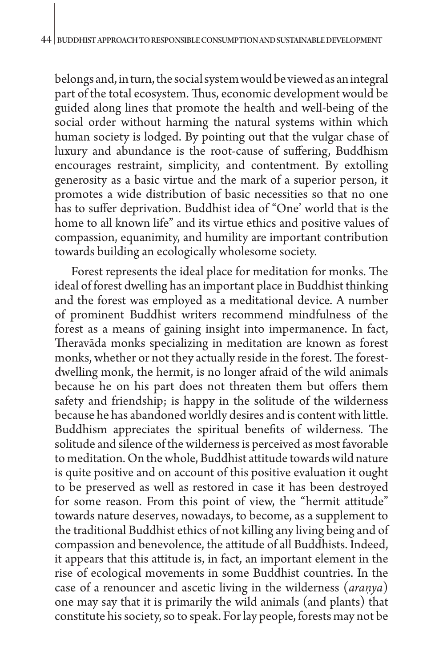belongs and, in turn, the social system would be viewed as an integral part of the total ecosystem. Thus, economic development would be guided along lines that promote the health and well-being of the social order without harming the natural systems within which human society is lodged. By pointing out that the vulgar chase of luxury and abundance is the root-cause of suffering, Buddhism encourages restraint, simplicity, and contentment. By extolling generosity as a basic virtue and the mark of a superior person, it promotes a wide distribution of basic necessities so that no one has to suffer deprivation. Buddhist idea of "One' world that is the home to all known life" and its virtue ethics and positive values of compassion, equanimity, and humility are important contribution towards building an ecologically wholesome society.

Forest represents the ideal place for meditation for monks. The ideal of forest dwelling has an important place in Buddhist thinking and the forest was employed as a meditational device. A number of prominent Buddhist writers recommend mindfulness of the forest as a means of gaining insight into impermanence. In fact, Theravāda monks specializing in meditation are known as forest monks, whether or not they actually reside in the forest. The forestdwelling monk, the hermit, is no longer afraid of the wild animals because he on his part does not threaten them but offers them safety and friendship; is happy in the solitude of the wilderness because he has abandoned worldly desires and is content with little. Buddhism appreciates the spiritual benefits of wilderness. The solitude and silence of the wilderness is perceived as most favorable to meditation. On the whole, Buddhist attitude towards wild nature is quite positive and on account of this positive evaluation it ought to be preserved as well as restored in case it has been destroyed for some reason. From this point of view, the "hermit attitude" towards nature deserves, nowadays, to become, as a supplement to the traditional Buddhist ethics of not killing any living being and of compassion and benevolence, the attitude of all Buddhists. Indeed, it appears that this attitude is, in fact, an important element in the rise of ecological movements in some Buddhist countries. In the case of a renouncer and ascetic living in the wilderness (*araṇya*) one may say that it is primarily the wild animals (and plants) that constitute his society, so to speak. For lay people, forests may not be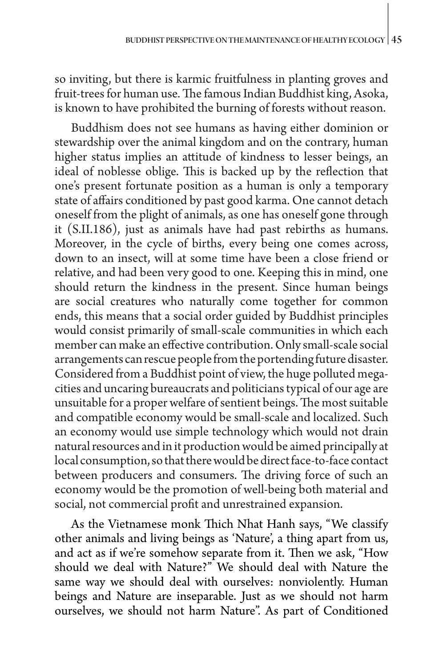so inviting, but there is karmic fruitfulness in planting groves and fruit-trees for human use. The famous Indian Buddhist king, Asoka, is known to have prohibited the burning of forests without reason.

Buddhism does not see humans as having either dominion or stewardship over the animal kingdom and on the contrary, human higher status implies an attitude of kindness to lesser beings, an ideal of noblesse oblige. This is backed up by the reflection that one's present fortunate position as a human is only a temporary state of affairs conditioned by past good karma. One cannot detach oneself from the plight of animals, as one has oneself gone through it (S.II.186), just as animals have had past rebirths as humans. Moreover, in the cycle of births, every being one comes across, down to an insect, will at some time have been a close friend or relative, and had been very good to one. Keeping this in mind, one should return the kindness in the present. Since human beings are social creatures who naturally come together for common ends, this means that a social order guided by Buddhist principles would consist primarily of small-scale communities in which each member can make an effective contribution. Only small-scale social arrangements can rescue people from the portending future disaster. Considered from a Buddhist point of view, the huge polluted megacities and uncaring bureaucrats and politicians typical of our age are unsuitable for a proper welfare of sentient beings. The most suitable and compatible economy would be small-scale and localized. Such an economy would use simple technology which would not drain natural resources and in it production would be aimed principally at local consumption, so that there would be direct face-to-face contact between producers and consumers. The driving force of such an economy would be the promotion of well-being both material and social, not commercial profit and unrestrained expansion.

As the Vietnamese monk Thich Nhat Hanh says, "We classify other animals and living beings as 'Nature', a thing apart from us, and act as if we're somehow separate from it. Then we ask, "How should we deal with Nature?" We should deal with Nature the same way we should deal with ourselves: nonviolently. Human beings and Nature are inseparable. Just as we should not harm ourselves, we should not harm Nature". As part of Conditioned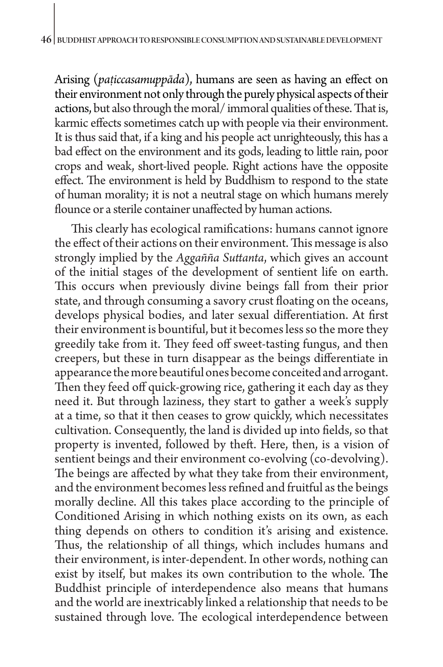Arising (*paṭiccasamuppāda*), humans are seen as having an effect on their environment not only through the purely physical aspects of their actions, but also through the moral/ immoral qualities of these. That is, karmic effects sometimes catch up with people via their environment. It is thus said that, if a king and his people act unrighteously, this has a bad effect on the environment and its gods, leading to little rain, poor crops and weak, short-lived people. Right actions have the opposite effect. The environment is held by Buddhism to respond to the state of human morality; it is not a neutral stage on which humans merely flounce or a sterile container unaffected by human actions.

This clearly has ecological ramifications: humans cannot ignore the effect of their actions on their environment. This message is also strongly implied by the *Aggañña Suttanta*, which gives an account of the initial stages of the development of sentient life on earth. This occurs when previously divine beings fall from their prior state, and through consuming a savory crust floating on the oceans, develops physical bodies, and later sexual differentiation. At first their environment is bountiful, but it becomes less so the more they greedily take from it. They feed off sweet-tasting fungus, and then creepers, but these in turn disappear as the beings differentiate in appearance the more beautiful ones become conceited and arrogant. Then they feed off quick-growing rice, gathering it each day as they need it. But through laziness, they start to gather a week's supply at a time, so that it then ceases to grow quickly, which necessitates cultivation. Consequently, the land is divided up into fields, so that property is invented, followed by theft. Here, then, is a vision of sentient beings and their environment co-evolving (co-devolving). The beings are affected by what they take from their environment, and the environment becomes less refined and fruitful as the beings morally decline. All this takes place according to the principle of Conditioned Arising in which nothing exists on its own, as each thing depends on others to condition it's arising and existence. Thus, the relationship of all things, which includes humans and their environment, is inter-dependent. In other words, nothing can exist by itself, but makes its own contribution to the whole. The Buddhist principle of interdependence also means that humans and the world are inextricably linked a relationship that needs to be sustained through love. The ecological interdependence between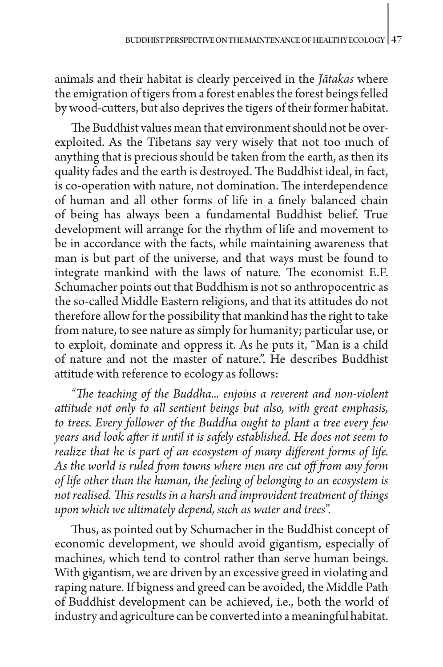animals and their habitat is clearly perceived in the *Jātakas* where the emigration of tigers from a forest enables the forest beings felled by wood-cutters, but also deprives the tigers of their former habitat.

The Buddhist values mean that environment should not be overexploited. As the Tibetans say very wisely that not too much of anything that is precious should be taken from the earth, as then its quality fades and the earth is destroyed. The Buddhist ideal, in fact, is co-operation with nature, not domination. The interdependence of human and all other forms of life in a finely balanced chain of being has always been a fundamental Buddhist belief. True development will arrange for the rhythm of life and movement to be in accordance with the facts, while maintaining awareness that man is but part of the universe, and that ways must be found to integrate mankind with the laws of nature. The economist E.F. Schumacher points out that Buddhism is not so anthropocentric as the so-called Middle Eastern religions, and that its attitudes do not therefore allow for the possibility that mankind has the right to take from nature, to see nature as simply for humanity; particular use, or to exploit, dominate and oppress it. As he puts it, "Man is a child of nature and not the master of nature.". He describes Buddhist attitude with reference to ecology as follows:

*"The teaching of the Buddha... enjoins a reverent and non-violent attitude not only to all sentient beings but also, with great emphasis, to trees. Every follower of the Buddha ought to plant a tree every few years and look after it until it is safely established. He does not seem to realize that he is part of an ecosystem of many different forms of life. As the world is ruled from towns where men are cut off from any form of life other than the human, the feeling of belonging to an ecosystem is not realised. This results in a harsh and improvident treatment of things upon which we ultimately depend, such as water and trees*".

Thus, as pointed out by Schumacher in the Buddhist concept of economic development, we should avoid gigantism, especially of machines, which tend to control rather than serve human beings. With gigantism, we are driven by an excessive greed in violating and raping nature. If bigness and greed can be avoided, the Middle Path of Buddhist development can be achieved, i.e., both the world of industry and agriculture can be converted into a meaningful habitat.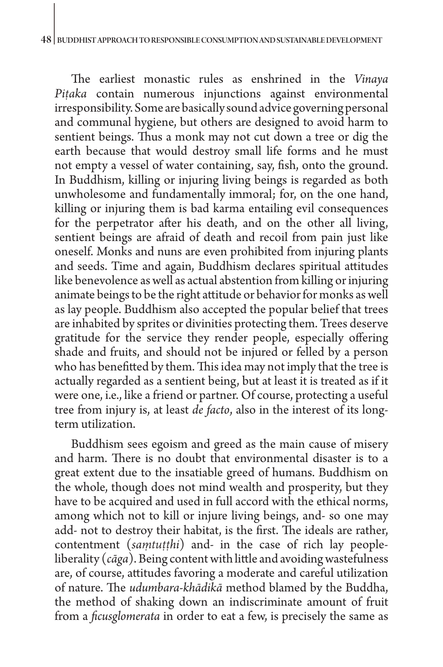The earliest monastic rules as enshrined in the *Vinaya Piṭaka* contain numerous injunctions against environmental irresponsibility. Some are basically sound advice governing personal and communal hygiene, but others are designed to avoid harm to sentient beings. Thus a monk may not cut down a tree or dig the earth because that would destroy small life forms and he must not empty a vessel of water containing, say, fish, onto the ground. In Buddhism, killing or injuring living beings is regarded as both unwholesome and fundamentally immoral; for, on the one hand, killing or injuring them is bad karma entailing evil consequences for the perpetrator after his death, and on the other all living, sentient beings are afraid of death and recoil from pain just like oneself. Monks and nuns are even prohibited from injuring plants and seeds. Time and again, Buddhism declares spiritual attitudes like benevolence as well as actual abstention from killing or injuring animate beings to be the right attitude or behavior for monks as well as lay people. Buddhism also accepted the popular belief that trees are inhabited by sprites or divinities protecting them. Trees deserve gratitude for the service they render people, especially offering shade and fruits, and should not be injured or felled by a person who has benefitted by them. This idea may not imply that the tree is actually regarded as a sentient being, but at least it is treated as if it were one, i.e., like a friend or partner. Of course, protecting a useful tree from injury is, at least *de facto*, also in the interest of its longterm utilization.

Buddhism sees egoism and greed as the main cause of misery and harm. There is no doubt that environmental disaster is to a great extent due to the insatiable greed of humans. Buddhism on the whole, though does not mind wealth and prosperity, but they have to be acquired and used in full accord with the ethical norms, among which not to kill or injure living beings, and- so one may add- not to destroy their habitat, is the first. The ideals are rather, contentment (*saṃtuṭṭhi*) and- in the case of rich lay peopleliberality (*cāga*). Being content with little and avoiding wastefulness are, of course, attitudes favoring a moderate and careful utilization of nature. The *udumbara-khādikā* method blamed by the Buddha, the method of shaking down an indiscriminate amount of fruit from a *ficusglomerata* in order to eat a few, is precisely the same as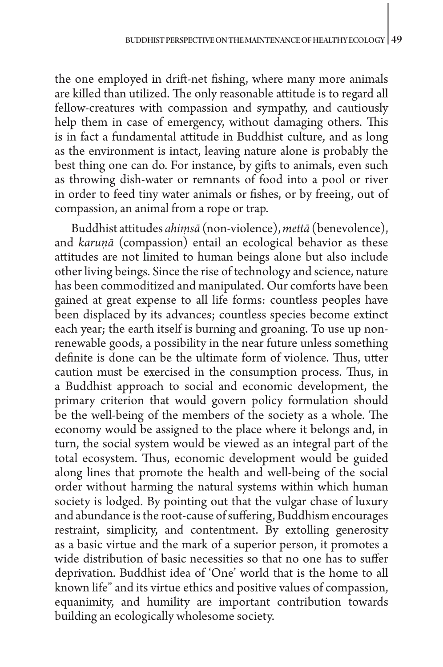the one employed in drift-net fishing, where many more animals are killed than utilized. The only reasonable attitude is to regard all fellow-creatures with compassion and sympathy, and cautiously help them in case of emergency, without damaging others. This is in fact a fundamental attitude in Buddhist culture, and as long as the environment is intact, leaving nature alone is probably the best thing one can do. For instance, by gifts to animals, even such as throwing dish-water or remnants of food into a pool or river in order to feed tiny water animals or fishes, or by freeing, out of compassion, an animal from a rope or trap.

Buddhist attitudes *ahiṃsā* (non-violence), *mettā* (benevolence), and *karuṇā* (compassion) entail an ecological behavior as these attitudes are not limited to human beings alone but also include other living beings. Since the rise of technology and science, nature has been commoditized and manipulated. Our comforts have been gained at great expense to all life forms: countless peoples have been displaced by its advances; countless species become extinct each year; the earth itself is burning and groaning. To use up nonrenewable goods, a possibility in the near future unless something definite is done can be the ultimate form of violence. Thus, utter caution must be exercised in the consumption process. Thus, in a Buddhist approach to social and economic development, the primary criterion that would govern policy formulation should be the well-being of the members of the society as a whole. The economy would be assigned to the place where it belongs and, in turn, the social system would be viewed as an integral part of the total ecosystem. Thus, economic development would be guided along lines that promote the health and well-being of the social order without harming the natural systems within which human society is lodged. By pointing out that the vulgar chase of luxury and abundance is the root-cause of suffering, Buddhism encourages restraint, simplicity, and contentment. By extolling generosity as a basic virtue and the mark of a superior person, it promotes a wide distribution of basic necessities so that no one has to suffer deprivation. Buddhist idea of 'One' world that is the home to all known life" and its virtue ethics and positive values of compassion, equanimity, and humility are important contribution towards building an ecologically wholesome society.